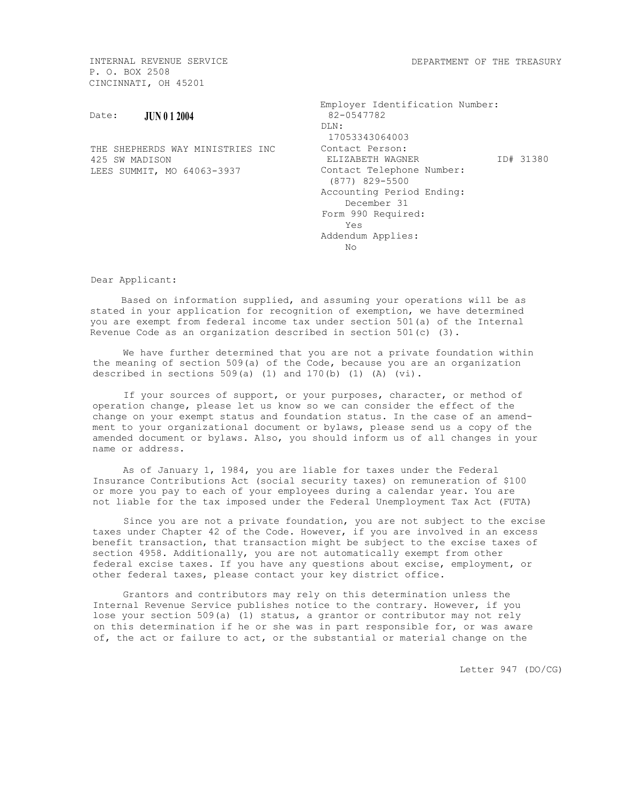DEPARTMENT OF THE TREASURY

INTERNAL REVENUE SERVICE P. O. BOX 2508 CINCINNATI, OH 45201

## Date: **JUN 0 1 2004**

THE SHEPHERDS WAY MINISTRIES INC 425 SW MADISON LEES SUMMIT, MO 64063-3937

| Employer Identification Number:<br>$82 - 0547782$ |  |
|---------------------------------------------------|--|
| DLN:                                              |  |
| 17053343064003                                    |  |
| Contact Person:                                   |  |
| ID# 31380<br>ELIZABETH WAGNER                     |  |
| Contact Telephone Number:                         |  |
| (877) 829-5500                                    |  |
| Accounting Period Ending:                         |  |
| December 31                                       |  |
| Form 990 Required:                                |  |
| Yes                                               |  |
| Addendum Applies:                                 |  |
| Nο                                                |  |

Dear Applicant:

Based on information supplied, and assuming your operations will be as stated in your application for recognition of exemption, we have determined you are exempt from federal income tax under section 501(a) of the Internal Revenue Code as an organization described in section 501(c) (3).

We have further determined that you are not a private foundation within the meaning of section 509(a) of the Code, because you are an organization described in sections 509(a) (1) and 170(b) (1) (A) (vi).

If your sources of support, or your purposes, character, or method of operation change, please let us know so we can consider the effect of the change on your exempt status and foundation status. In the case of an amendment to your organizational document or bylaws, please send us a copy of the amended document or bylaws. Also, you should inform us of all changes in your name or address.

As of January 1, 1984, you are liable for taxes under the Federal Insurance Contributions Act (social security taxes) on remuneration of \$100 or more you pay to each of your employees during a calendar year. You are not liable for the tax imposed under the Federal Unemployment Tax Act (FUTA)

Since you are not a private foundation, you are not subject to the excise taxes under Chapter 42 of the Code. However, if you are involved in an excess benefit transaction, that transaction might be subject to the excise taxes of section 4958. Additionally, you are not automatically exempt from other federal excise taxes. If you have any questions about excise, employment, or other federal taxes, please contact your key district office.

Grantors and contributors may rely on this determination unless the Internal Revenue Service publishes notice to the contrary. However, if you lose your section 509(a) (1) status, a grantor or contributor may not rely on this determination if he or she was in part responsible for, or was aware of, the act or failure to act, or the substantial or material change on the

Letter 947 (DO/CG)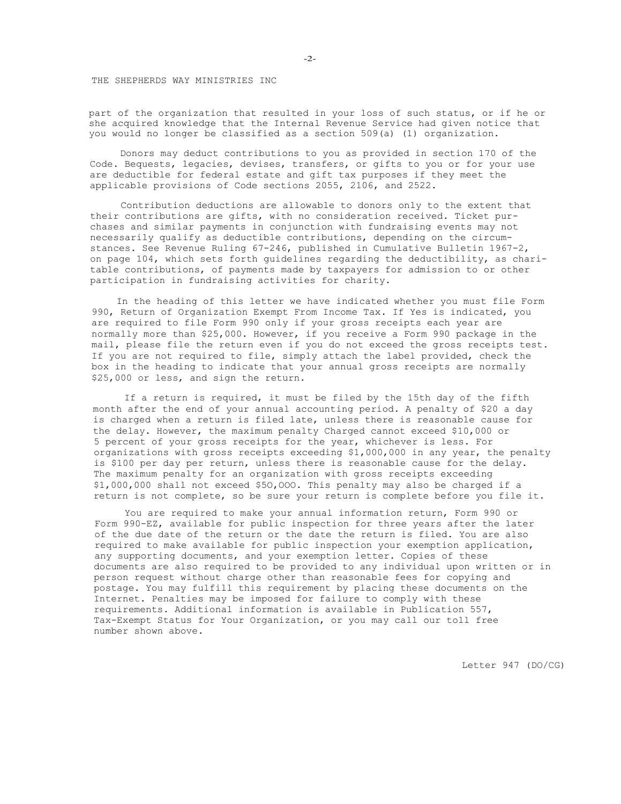THE SHEPHERDS WAY MINISTRIES INC

part of the organization that resulted in your loss of such status, or if he or she acquired knowledge that the Internal Revenue Service had given notice that you would no longer be classified as a section 509(a) (1) organization.

Donors may deduct contributions to you as provided in section 170 of the Code. Bequests, legacies, devises, transfers, or gifts to you or for your use are deductible for federal estate and gift tax purposes if they meet the applicable provisions of Code sections 2055, 2106, and 2522.

Contribution deductions are allowable to donors only to the extent that their contributions are gifts, with no consideration received. Ticket purchases and similar payments in conjunction with fundraising events may not necessarily qualify as deductible contributions, depending on the circumstances. See Revenue Ruling 67-246, published in Cumulative Bulletin 1967-2, on page 104, which sets forth guidelines regarding the deductibility, as charitable contributions, of payments made by taxpayers for admission to or other participation in fundraising activities for charity.

In the heading of this letter we have indicated whether you must file Form 990, Return of Organization Exempt From Income Tax. If Yes is indicated, you are required to file Form 990 only if your gross receipts each year are normally more than \$25,000. However, if you receive a Form 990 package in the mail, please file the return even if you do not exceed the gross receipts test. If you are not required to file, simply attach the label provided, check the box in the heading to indicate that your annual gross receipts are normally \$25,000 or less, and sign the return.

If a return is required, it must be filed by the 15th day of the fifth month after the end of your annual accounting period. A penalty of \$20 a day is charged when a return is filed late, unless there is reasonable cause for the delay. However, the maximum penalty Charged cannot exceed \$10,000 or 5 percent of your gross receipts for the year, whichever is less. For organizations with gross receipts exceeding \$1,000,000 in any year, the penalty is \$100 per day per return, unless there is reasonable cause for the delay. The maximum penalty for an organization with gross receipts exceeding \$1,000,000 shall not exceed \$5O,OOO. This penalty may also be charged if a return is not complete, so be sure your return is complete before you file it.

You are required to make your annual information return, Form 990 or Form 990-EZ, available for public inspection for three years after the later of the due date of the return or the date the return is filed. You are also required to make available for public inspection your exemption application, any supporting documents, and your exemption letter. Copies of these documents are also required to be provided to any individual upon written or in person request without charge other than reasonable fees for copying and postage. You may fulfill this requirement by placing these documents on the Internet. Penalties may be imposed for failure to comply with these requirements. Additional information is available in Publication 557, Tax-Exempt Status for Your Organization, or you may call our toll free number shown above.

Letter 947 (DO/CG)